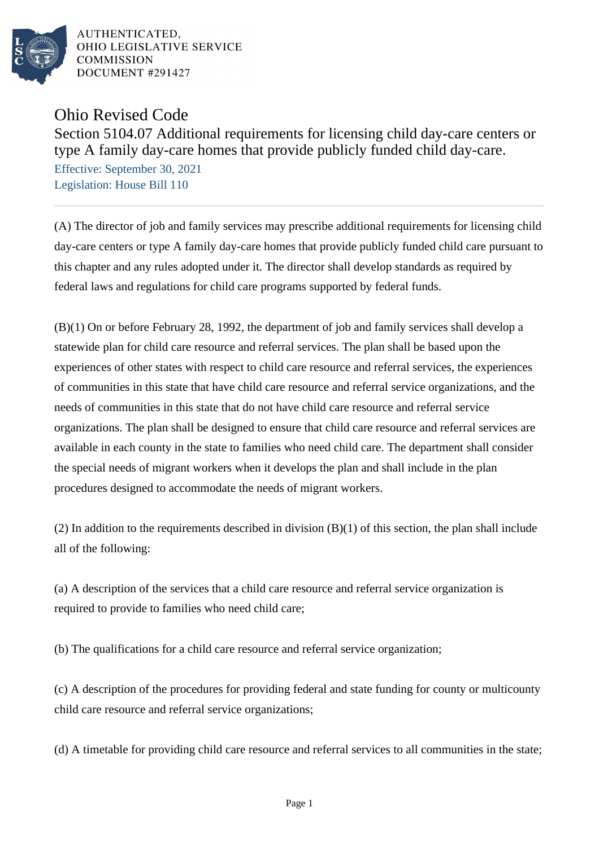

AUTHENTICATED. OHIO LEGISLATIVE SERVICE **COMMISSION** DOCUMENT #291427

## Ohio Revised Code

Section 5104.07 Additional requirements for licensing child day-care centers or type A family day-care homes that provide publicly funded child day-care.

Effective: September 30, 2021 Legislation: House Bill 110

(A) The director of job and family services may prescribe additional requirements for licensing child day-care centers or type A family day-care homes that provide publicly funded child care pursuant to this chapter and any rules adopted under it. The director shall develop standards as required by federal laws and regulations for child care programs supported by federal funds.

(B)(1) On or before February 28, 1992, the department of job and family services shall develop a statewide plan for child care resource and referral services. The plan shall be based upon the experiences of other states with respect to child care resource and referral services, the experiences of communities in this state that have child care resource and referral service organizations, and the needs of communities in this state that do not have child care resource and referral service organizations. The plan shall be designed to ensure that child care resource and referral services are available in each county in the state to families who need child care. The department shall consider the special needs of migrant workers when it develops the plan and shall include in the plan procedures designed to accommodate the needs of migrant workers.

(2) In addition to the requirements described in division (B)(1) of this section, the plan shall include all of the following:

(a) A description of the services that a child care resource and referral service organization is required to provide to families who need child care;

(b) The qualifications for a child care resource and referral service organization;

(c) A description of the procedures for providing federal and state funding for county or multicounty child care resource and referral service organizations;

(d) A timetable for providing child care resource and referral services to all communities in the state;